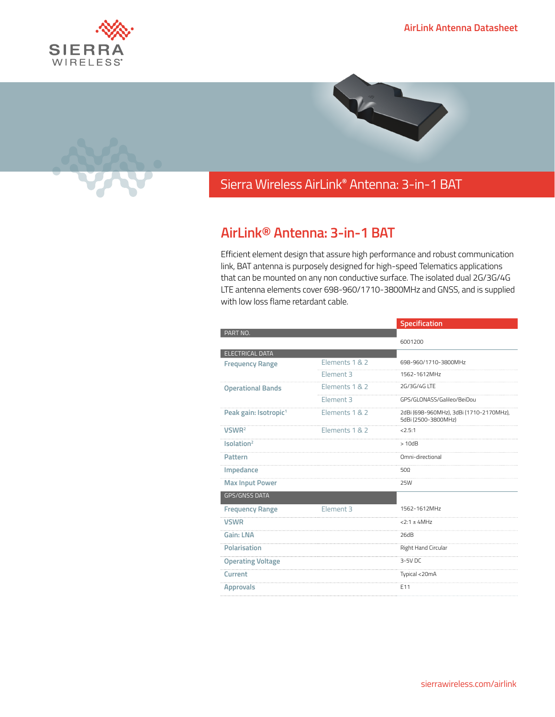





## Sierra Wireless **EMBEDDED MODULES HL SERIES** AirLink**®** Antenna: 3-in-1 BAT

## **AirLink® Antenna: 3-in-1 BAT**

Efficient element design that assure high performance and robust communication link, BAT antenna is purposely designed for high-speed Telematics applications that can be mounted on any non conductive surface. The isolated dual 2G/3G/4G LTE antenna elements cover 698-960/1710-3800MHz and GNSS, and is supplied with low loss flame retardant cable.

|                                   |                      | Specification                                                  |
|-----------------------------------|----------------------|----------------------------------------------------------------|
| PART NO.                          |                      |                                                                |
|                                   |                      | 6001200                                                        |
| ELECTRICAL DATA                   | Elements 1 & 2       | 698-960/1710-3800MHz                                           |
| <b>Frequency Range</b>            |                      |                                                                |
|                                   | Element 3            | 1562-1612MHz                                                   |
| <b>Operational Bands</b>          | Elements 1 & 2       | 2G/3G/4G LTF                                                   |
|                                   | Element 3            | GPS/GLONASS/Galileo/BeiDou                                     |
| Peak gain: Isotropic <sup>1</sup> | Elements 1 & 2       | 2dBi (698-960MHz), 3dBi (1710-2170MHz),<br>5dBi (2500-3800MHz) |
| VSWR <sup>2</sup>                 | Elements 1 & 2       | < 2.5:1                                                        |
| Isolation <sup>2</sup>            |                      | >10dB                                                          |
| Pattern                           |                      | Omni-directional                                               |
| Impedance                         |                      | $50\Omega$                                                     |
| <b>Max Input Power</b>            |                      | <b>25W</b>                                                     |
| <b>GPS/GNSS DATA</b>              |                      |                                                                |
| <b>Frequency Range</b>            | Element <sub>3</sub> | 1562-1612MHz                                                   |
| <b>VSWR</b>                       |                      | $< 2:1 \pm 4$ MHz                                              |
| <b>Gain: LNA</b>                  |                      | 26dB                                                           |
| Polarisation                      |                      | Right Hand Circular                                            |
| <b>Operating Voltage</b>          |                      | $3-5V$ DC                                                      |
| Current                           |                      | Typical <20mA                                                  |
| <b>Approvals</b>                  |                      | E11                                                            |
|                                   |                      |                                                                |